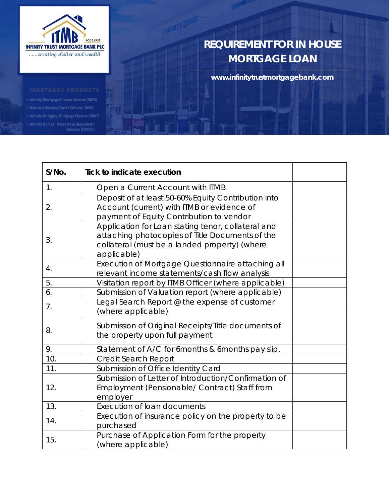

## **REQUIREMENT FOR IN HOUSE MORTGAGE LOAN**

**www.infinitytrustmortgagebank.com**

- 
- 
- Infinity Bridging Mortgage Finance (IBMF)

Infinity Homes - Ownership Investment<br>Solution (I-HOISt)

| S/No. | <b>Tick to indicate execution</b>                                                                                                                                     |  |
|-------|-----------------------------------------------------------------------------------------------------------------------------------------------------------------------|--|
| 1.    | Open a Current Account with ITMB                                                                                                                                      |  |
| 2.    | Deposit of at least 50-60% Equity Contribution into<br>Account (current) with ITMB or evidence of<br>payment of Equity Contribution to vendor                         |  |
| 3.    | Application for Loan stating tenor, collateral and<br>attaching photocopies of Title Documents of the<br>collateral (must be a landed property) (where<br>applicable) |  |
| 4.    | Execution of Mortgage Questionnaire attaching all<br>relevant income statements/cash flow analysis                                                                    |  |
| 5.    | Visitation report by ITMB Officer (where applicable)                                                                                                                  |  |
| 6.    | Submission of Valuation report (where applicable)                                                                                                                     |  |
| 7.    | Legal Search Report @ the expense of customer<br>(where applicable)                                                                                                   |  |
| 8.    | Submission of Original Receipts/Title documents of<br>the property upon full payment                                                                                  |  |
| 9.    | Statement of A/C for 6months & 6months pay slip.                                                                                                                      |  |
| 10.   | <b>Credit Search Report</b>                                                                                                                                           |  |
| 11.   | Submission of Office Identity Card                                                                                                                                    |  |
| 12.   | Submission of Letter of Introduction/Confirmation of<br>Employment (Pensionable/ Contract) Staff from<br>employer                                                     |  |
| 13.   | <b>Execution of loan documents</b>                                                                                                                                    |  |
| 14.   | Execution of insurance policy on the property to be<br>purchased                                                                                                      |  |
| 15.   | Purchase of Application Form for the property<br>(where applicable)                                                                                                   |  |